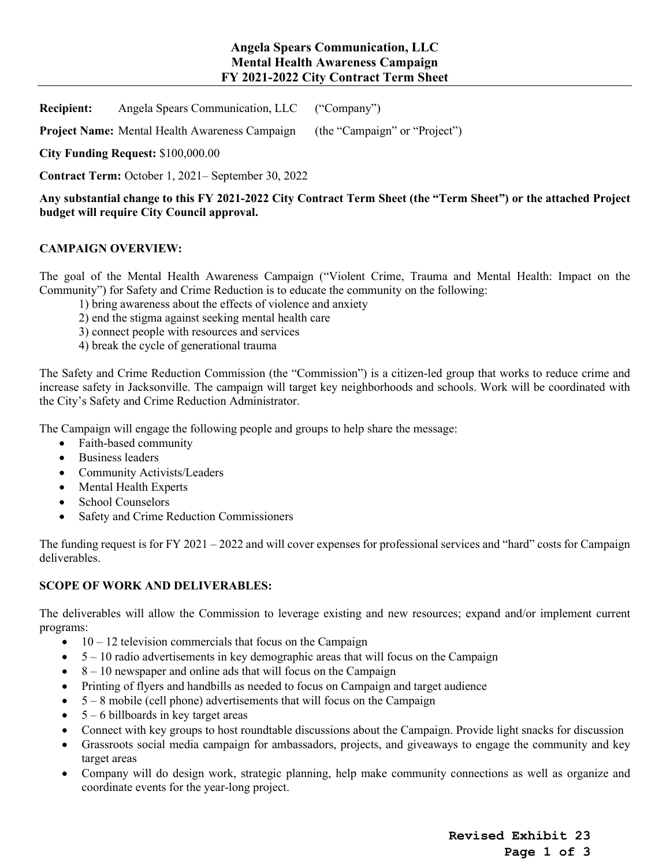# **Angela Spears Communication, LLC Mental Health Awareness Campaign FY 2021-2022 City Contract Term Sheet**

**Recipient:** Angela Spears Communication, LLC ("Company")

**Project Name:** Mental Health Awareness Campaign (the "Campaign" or "Project")

**City Funding Request:** \$100,000.00

**Contract Term:** October 1, 2021– September 30, 2022

**Any substantial change to this FY 2021-2022 City Contract Term Sheet (the "Term Sheet") or the attached Project budget will require City Council approval.** 

## **CAMPAIGN OVERVIEW:**

The goal of the Mental Health Awareness Campaign ("Violent Crime, Trauma and Mental Health: Impact on the Community") for Safety and Crime Reduction is to educate the community on the following:

- 1) bring awareness about the effects of violence and anxiety
- 2) end the stigma against seeking mental health care
- 3) connect people with resources and services
- 4) break the cycle of generational trauma

The Safety and Crime Reduction Commission (the "Commission") is a citizen-led group that works to reduce crime and increase safety in Jacksonville. The campaign will target key neighborhoods and schools. Work will be coordinated with the City's Safety and Crime Reduction Administrator.

The Campaign will engage the following people and groups to help share the message:

- Faith-based community
- Business leaders
- Community Activists/Leaders
- Mental Health Experts
- School Counselors
- Safety and Crime Reduction Commissioners

The funding request is for FY 2021 – 2022 and will cover expenses for professional services and "hard" costs for Campaign deliverables.

### **SCOPE OF WORK AND DELIVERABLES:**

The deliverables will allow the Commission to leverage existing and new resources; expand and/or implement current programs:

- $\bullet$  10 12 television commercials that focus on the Campaign
- $\bullet$  5 10 radio advertisements in key demographic areas that will focus on the Campaign
- $\bullet$  8 10 newspaper and online ads that will focus on the Campaign
- Printing of flyers and handbills as needed to focus on Campaign and target audience
- $\bullet$  5 8 mobile (cell phone) advertisements that will focus on the Campaign
- $\bullet$  5 6 billboards in key target areas
- Connect with key groups to host roundtable discussions about the Campaign. Provide light snacks for discussion
- Grassroots social media campaign for ambassadors, projects, and giveaways to engage the community and key target areas
- Company will do design work, strategic planning, help make community connections as well as organize and coordinate events for the year-long project.

**Revised Exhibit 23 Page 1 of 3**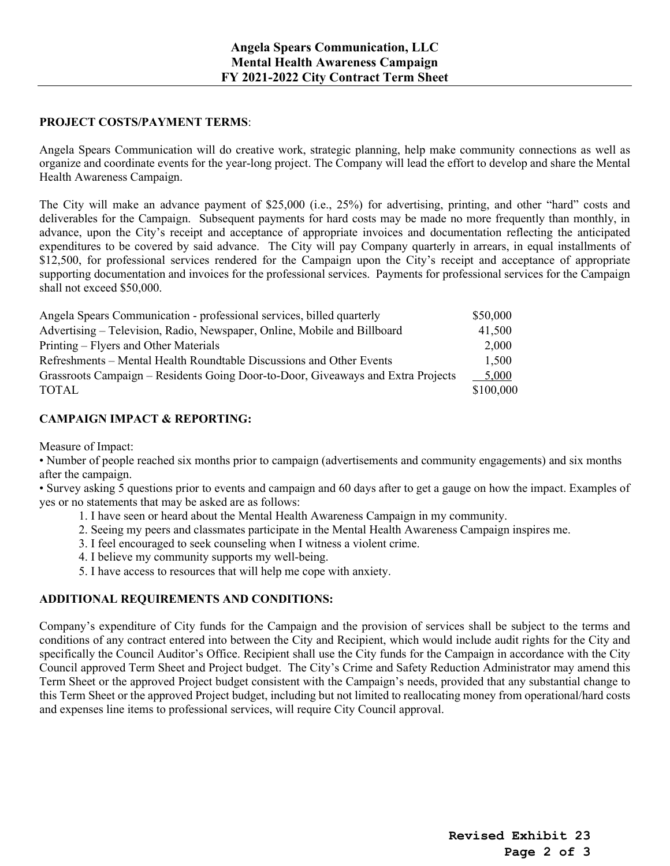#### **PROJECT COSTS/PAYMENT TERMS**:

Angela Spears Communication will do creative work, strategic planning, help make community connections as well as organize and coordinate events for the year-long project. The Company will lead the effort to develop and share the Mental Health Awareness Campaign.

The City will make an advance payment of \$25,000 (i.e., 25%) for advertising, printing, and other "hard" costs and deliverables for the Campaign. Subsequent payments for hard costs may be made no more frequently than monthly, in advance, upon the City's receipt and acceptance of appropriate invoices and documentation reflecting the anticipated expenditures to be covered by said advance. The City will pay Company quarterly in arrears, in equal installments of \$12,500, for professional services rendered for the Campaign upon the City's receipt and acceptance of appropriate supporting documentation and invoices for the professional services. Payments for professional services for the Campaign shall not exceed \$50,000.

| Angela Spears Communication - professional services, billed quarterly            | \$50,000  |
|----------------------------------------------------------------------------------|-----------|
| Advertising – Television, Radio, Newspaper, Online, Mobile and Billboard         | 41,500    |
| Printing – Flyers and Other Materials                                            | 2,000     |
| Refreshments – Mental Health Roundtable Discussions and Other Events             | 1.500     |
| Grassroots Campaign – Residents Going Door-to-Door, Giveaways and Extra Projects | 5.000     |
| <b>TOTAL</b>                                                                     | \$100,000 |

### **CAMPAIGN IMPACT & REPORTING:**

Measure of Impact:

• Number of people reached six months prior to campaign (advertisements and community engagements) and six months after the campaign.

• Survey asking 5 questions prior to events and campaign and 60 days after to get a gauge on how the impact. Examples of yes or no statements that may be asked are as follows:

- 1. I have seen or heard about the Mental Health Awareness Campaign in my community.
- 2. Seeing my peers and classmates participate in the Mental Health Awareness Campaign inspires me.
- 3. I feel encouraged to seek counseling when I witness a violent crime.
- 4. I believe my community supports my well-being.
- 5. I have access to resources that will help me cope with anxiety.

### **ADDITIONAL REQUIREMENTS AND CONDITIONS:**

Company's expenditure of City funds for the Campaign and the provision of services shall be subject to the terms and conditions of any contract entered into between the City and Recipient, which would include audit rights for the City and specifically the Council Auditor's Office. Recipient shall use the City funds for the Campaign in accordance with the City Council approved Term Sheet and Project budget. The City's Crime and Safety Reduction Administrator may amend this Term Sheet or the approved Project budget consistent with the Campaign's needs, provided that any substantial change to this Term Sheet or the approved Project budget, including but not limited to reallocating money from operational/hard costs and expenses line items to professional services, will require City Council approval.

> **Revised Exhibit 23 Page 2 of 3**